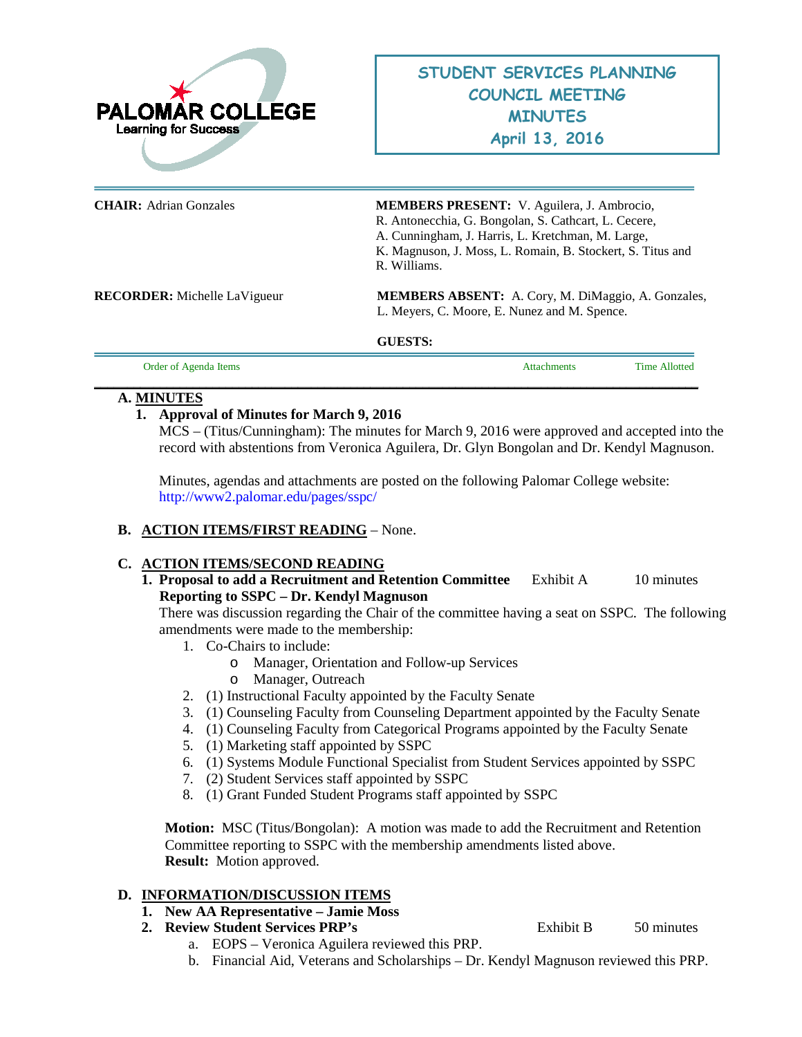

| <b>CHAIR:</b> Adrian Gonzales       | MEMBERS PRESENT: V. Aguilera, J. Ambrocio,<br>R. Antonecchia, G. Bongolan, S. Cathcart, L. Cecere,<br>A. Cunningham, J. Harris, L. Kretchman, M. Large,<br>K. Magnuson, J. Moss, L. Romain, B. Stockert, S. Titus and<br>R. Williams. |
|-------------------------------------|---------------------------------------------------------------------------------------------------------------------------------------------------------------------------------------------------------------------------------------|
| <b>RECORDER:</b> Michelle LaVigueur | <b>MEMBERS ABSENT:</b> A. Cory, M. DiMaggio, A. Gonzales,<br>L. Meyers, C. Moore, E. Nunez and M. Spence.                                                                                                                             |
|                                     | <b>GUESTS:</b>                                                                                                                                                                                                                        |
| Order of Agenda Items               | <b>Time Allotted</b><br><b>Attachments</b>                                                                                                                                                                                            |

#### **\_\_\_\_\_\_\_\_\_\_\_\_\_\_\_\_\_\_\_\_\_\_\_\_\_\_\_\_\_\_\_\_\_\_\_\_\_\_\_\_\_\_\_\_\_\_\_\_\_\_\_\_\_\_\_\_\_\_\_\_\_\_\_\_\_\_\_\_\_\_\_\_\_\_\_\_\_\_\_\_\_\_\_\_\_\_\_\_\_\_\_\_ A. MINUTES**

#### **1. Approval of Minutes for March 9, 2016**

MCS – (Titus/Cunningham): The minutes for March 9, 2016 were approved and accepted into the record with abstentions from Veronica Aguilera, Dr. Glyn Bongolan and Dr. Kendyl Magnuson.

Minutes, agendas and attachments are posted on the following Palomar College website: <http://www2.palomar.edu/pages/sspc/>

## **B. ACTION ITEMS/FIRST READING** – None.

## **C. ACTION ITEMS/SECOND READING**

**1. Proposal to add a Recruitment and Retention Committee** Exhibit A 10 minutes **Reporting to SSPC – Dr. Kendyl Magnuson**

There was discussion regarding the Chair of the committee having a seat on SSPC. The following amendments were made to the membership:

- 1. Co-Chairs to include:
	- o Manager, Orientation and Follow-up Services
	- o Manager, Outreach
- 2. (1) Instructional Faculty appointed by the Faculty Senate
- 3. (1) Counseling Faculty from Counseling Department appointed by the Faculty Senate
- 4. (1) Counseling Faculty from Categorical Programs appointed by the Faculty Senate
- 5. (1) Marketing staff appointed by SSPC
- 6. (1) Systems Module Functional Specialist from Student Services appointed by SSPC
- 7. (2) Student Services staff appointed by SSPC
- 8. (1) Grant Funded Student Programs staff appointed by SSPC

**Motion:** MSC (Titus/Bongolan): A motion was made to add the Recruitment and Retention Committee reporting to SSPC with the membership amendments listed above. **Result:** Motion approved.

## **D. INFORMATION/DISCUSSION ITEMS**

- **1. New AA Representative – Jamie Moss**
- **2. Review Student Services PRP's** Exhibit B 50 minutes
	- a. EOPS Veronica Aguilera reviewed this PRP.

b. Financial Aid, Veterans and Scholarships – Dr. Kendyl Magnuson reviewed this PRP.